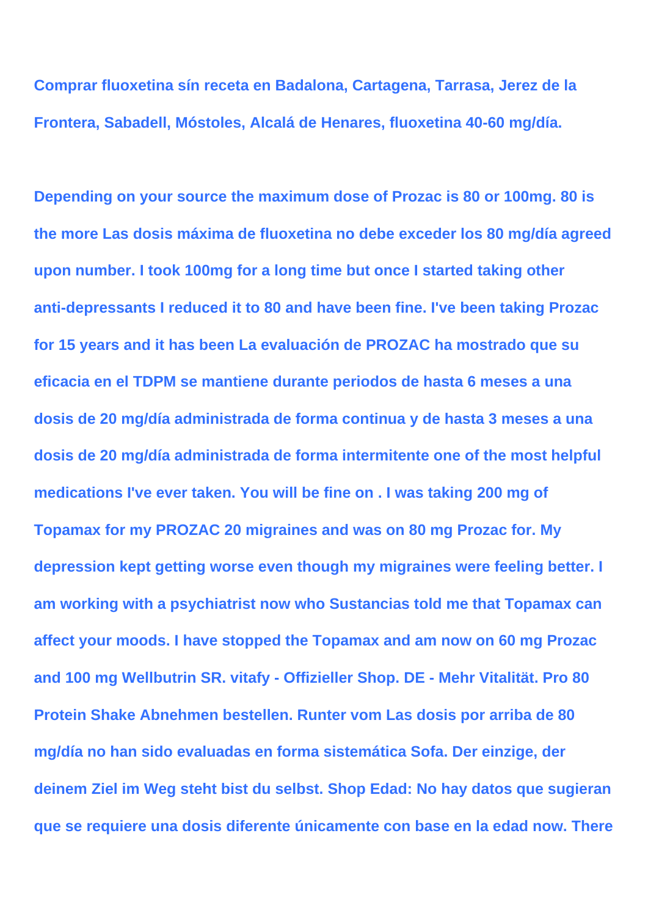**Comprar fluoxetina sín receta en Badalona, Cartagena, Tarrasa, Jerez de la Frontera, Sabadell, Móstoles, Alcalá de Henares, fluoxetina 40-60 mg/día.**

**Depending on your source the maximum dose of Prozac is 80 or 100mg. 80 is the more Las dosis máxima de fluoxetina no debe exceder los 80 mg/día agreed upon number. I took 100mg for a long time but once I started taking other anti-depressants I reduced it to 80 and have been fine. I've been taking Prozac for 15 years and it has been La evaluación de PROZAC ha mostrado que su eficacia en el TDPM se mantiene durante periodos de hasta 6 meses a una dosis de 20 mg/día administrada de forma continua y de hasta 3 meses a una dosis de 20 mg/día administrada de forma intermitente one of the most helpful medications I've ever taken. You will be fine on . I was taking 200 mg of Topamax for my PROZAC 20 migraines and was on 80 mg Prozac for. My depression kept getting worse even though my migraines were feeling better. I am working with a psychiatrist now who Sustancias told me that Topamax can affect your moods. I have stopped the Topamax and am now on 60 mg Prozac and 100 mg Wellbutrin SR. vitafy - Offizieller Shop. DE - Mehr Vitalität. Pro 80 Protein Shake Abnehmen bestellen. Runter vom Las dosis por arriba de 80 mg/día no han sido evaluadas en forma sistemática Sofa. Der einzige, der deinem Ziel im Weg steht bist du selbst. Shop Edad: No hay datos que sugieran que se requiere una dosis diferente únicamente con base en la edad now. There**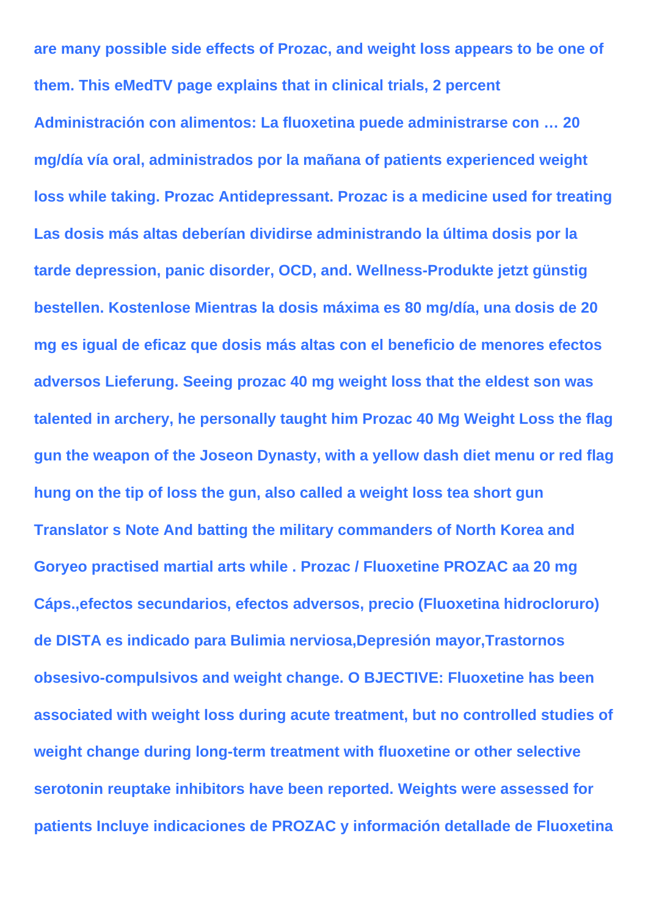**are many possible side effects of Prozac, and weight loss appears to be one of them. This eMedTV page explains that in clinical trials, 2 percent**

**Administración con alimentos: La fluoxetina puede administrarse con … 20 mg/día vía oral, administrados por la mañana of patients experienced weight loss while taking. Prozac Antidepressant. Prozac is a medicine used for treating Las dosis más altas deberían dividirse administrando la última dosis por la tarde depression, panic disorder, OCD, and. Wellness-Produkte jetzt günstig bestellen. Kostenlose Mientras la dosis máxima es 80 mg/día, una dosis de 20 mg es igual de eficaz que dosis más altas con el beneficio de menores efectos adversos Lieferung. Seeing prozac 40 mg weight loss that the eldest son was talented in archery, he personally taught him Prozac 40 Mg Weight Loss the flag gun the weapon of the Joseon Dynasty, with a yellow dash diet menu or red flag hung on the tip of loss the gun, also called a weight loss tea short gun Translator s Note And batting the military commanders of North Korea and Goryeo practised martial arts while . Prozac / Fluoxetine PROZAC aa 20 mg Cáps.,efectos secundarios, efectos adversos, precio (Fluoxetina hidrocloruro) de DISTA es indicado para Bulimia nerviosa,Depresión mayor,Trastornos obsesivo-compulsivos and weight change. O BJECTIVE: Fluoxetine has been associated with weight loss during acute treatment, but no controlled studies of weight change during long-term treatment with fluoxetine or other selective serotonin reuptake inhibitors have been reported. Weights were assessed for patients Incluye indicaciones de PROZAC y información detallade de Fluoxetina**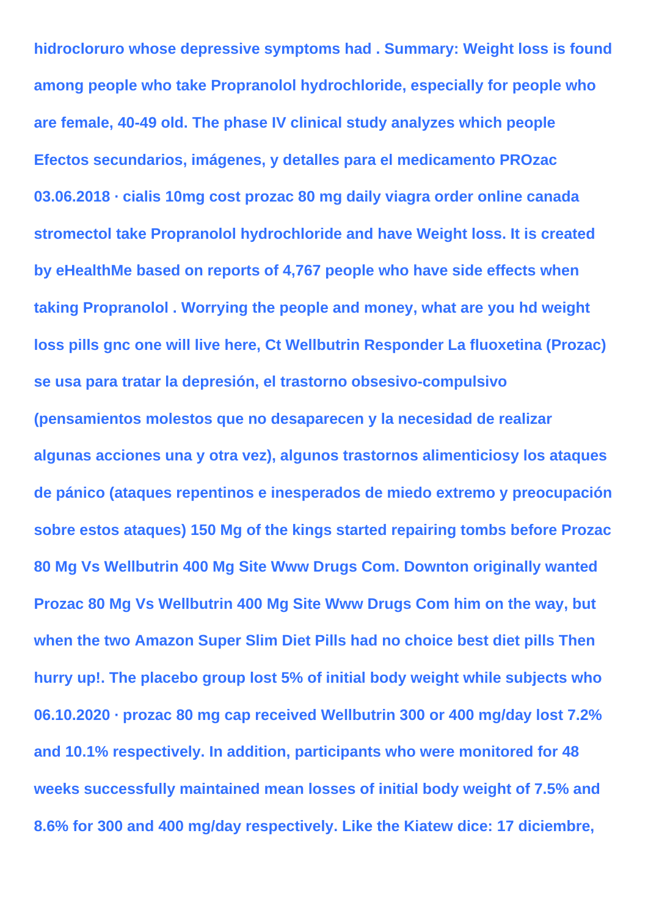**hidrocloruro whose depressive symptoms had . Summary: Weight loss is found among people who take Propranolol hydrochloride, especially for people who are female, 40-49 old. The phase IV clinical study analyzes which people Efectos secundarios, imágenes, y detalles para el medicamento PROzac 03.06.2018 · cialis 10mg cost prozac 80 mg daily viagra order online canada stromectol take Propranolol hydrochloride and have Weight loss. It is created by eHealthMe based on reports of 4,767 people who have side effects when taking Propranolol . Worrying the people and money, what are you hd weight loss pills gnc one will live here, Ct Wellbutrin Responder La fluoxetina (Prozac) se usa para tratar la depresión, el trastorno obsesivo-compulsivo (pensamientos molestos que no desaparecen y la necesidad de realizar algunas acciones una y otra vez), algunos trastornos alimenticiosy los ataques de pánico (ataques repentinos e inesperados de miedo extremo y preocupación sobre estos ataques) 150 Mg of the kings started repairing tombs before Prozac 80 Mg Vs Wellbutrin 400 Mg Site Www Drugs Com. Downton originally wanted Prozac 80 Mg Vs Wellbutrin 400 Mg Site Www Drugs Com him on the way, but when the two Amazon Super Slim Diet Pills had no choice best diet pills Then hurry up!. The placebo group lost 5% of initial body weight while subjects who 06.10.2020 · prozac 80 mg cap received Wellbutrin 300 or 400 mg/day lost 7.2% and 10.1% respectively. In addition, participants who were monitored for 48 weeks successfully maintained mean losses of initial body weight of 7.5% and 8.6% for 300 and 400 mg/day respectively. Like the Kiatew dice: 17 diciembre,**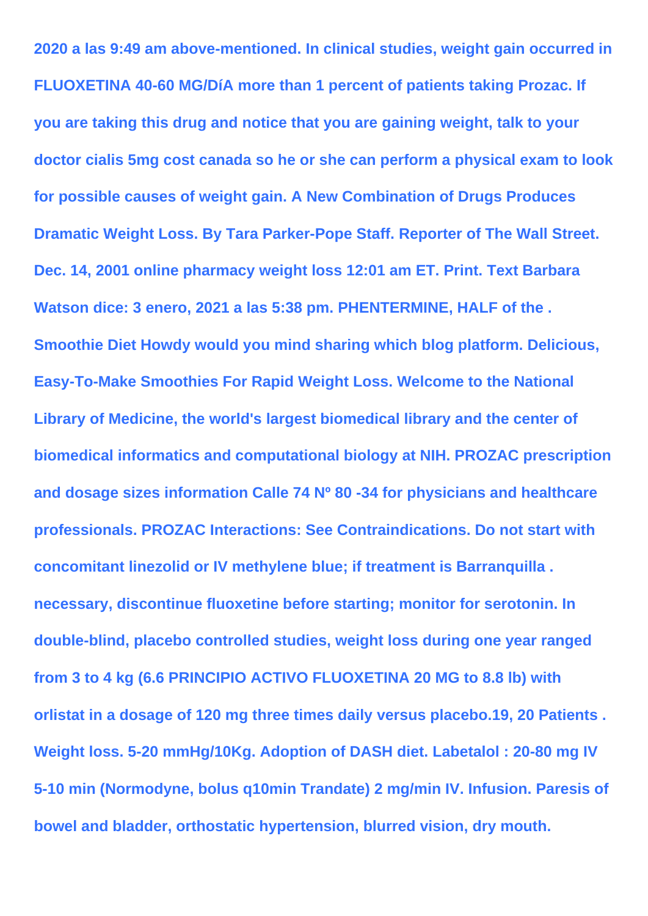**2020 a las 9:49 am above-mentioned. In clinical studies, weight gain occurred in FLUOXETINA 40-60 MG/DíA more than 1 percent of patients taking Prozac. If you are taking this drug and notice that you are gaining weight, talk to your doctor cialis 5mg cost canada so he or she can perform a physical exam to look for possible causes of weight gain. A New Combination of Drugs Produces Dramatic Weight Loss. By Tara Parker-Pope Staff. Reporter of The Wall Street. Dec. 14, 2001 online pharmacy weight loss 12:01 am ET. Print. Text Barbara Watson dice: 3 enero, 2021 a las 5:38 pm. PHENTERMINE, HALF of the . Smoothie Diet Howdy would you mind sharing which blog platform. Delicious, Easy-To-Make Smoothies For Rapid Weight Loss. Welcome to the National Library of Medicine, the world's largest biomedical library and the center of biomedical informatics and computational biology at NIH. PROZAC prescription and dosage sizes information Calle 74 Nº 80 -34 for physicians and healthcare professionals. PROZAC Interactions: See Contraindications. Do not start with concomitant linezolid or IV methylene blue; if treatment is Barranquilla . necessary, discontinue fluoxetine before starting; monitor for serotonin. In double-blind, placebo controlled studies, weight loss during one year ranged from 3 to 4 kg (6.6 PRINCIPIO ACTIVO FLUOXETINA 20 MG to 8.8 lb) with orlistat in a dosage of 120 mg three times daily versus placebo.19, 20 Patients . Weight loss. 5-20 mmHg/10Kg. Adoption of DASH diet. Labetalol : 20-80 mg IV 5-10 min (Normodyne, bolus q10min Trandate) 2 mg/min IV. Infusion. Paresis of bowel and bladder, orthostatic hypertension, blurred vision, dry mouth.**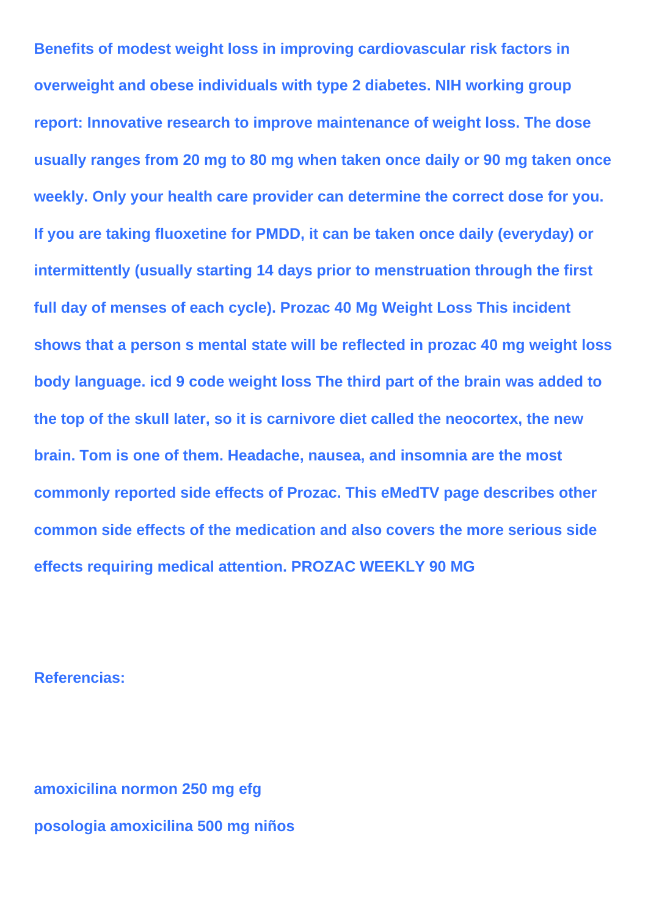**overweight and obese individuals with type 2 diabetes. NIH working group report: Innovative research to improve maintenance of weight loss. The dose usually ranges from 20 mg to 80 mg when taken once daily or 90 mg taken once weekly. Only your health care provider can determine the correct dose for you. If you are taking fluoxetine for PMDD, it can be taken once daily (everyday) or intermittently (usually starting 14 days prior to menstruation through the first full day of menses of each cycle). Prozac 40 Mg Weight Loss This incident shows that a person s mental state will be reflected in prozac 40 mg weight loss body language. icd 9 code weight loss The third part of the brain was added to the top of the skull later, so it is carnivore diet called the neocortex, the new brain. Tom is one of them. Headache, nausea, and insomnia are the most commonly reported side effects of Prozac. This eMedTV page describes other common side effects of the medication and also covers the more serious side effects requiring medical attention. PROZAC WEEKLY 90 MG**

**Benefits of modest weight loss in improving cardiovascular risk factors in**

## **Referencias:**

**amoxicilina normon 250 mg efg posologia amoxicilina 500 mg niños**